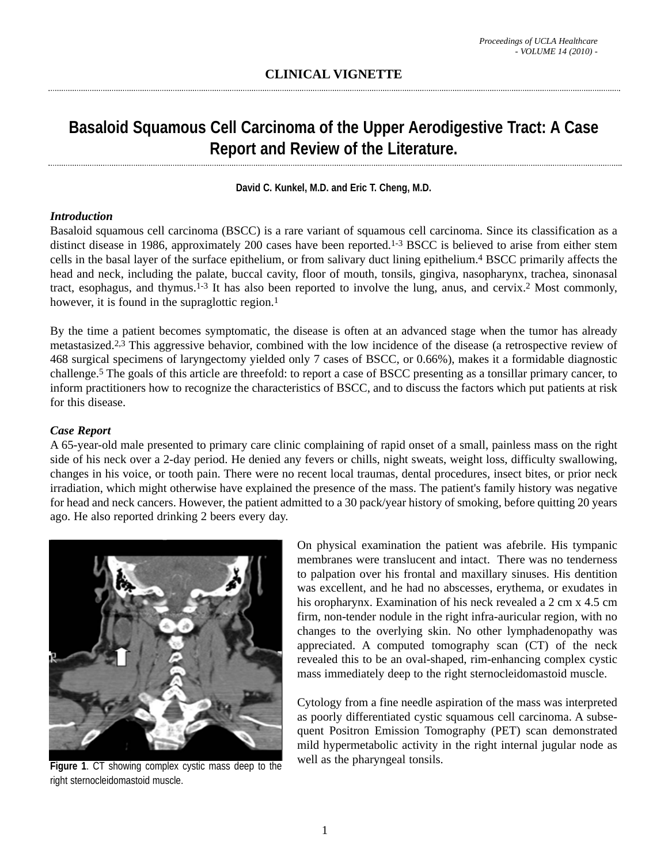# **Basaloid Squamous Cell Carcinoma of the Upper Aerodigestive Tract: A Case Report and Review of the Literature.**

**David C. Kunkel, M.D. and Eric T. Cheng, M.D.** 

### *Introduction*

Basaloid squamous cell carcinoma (BSCC) is a rare variant of squamous cell carcinoma. Since its classification as a distinct disease in 1986, approximately 200 cases have been reported.<sup>1-3</sup> BSCC is believed to arise from either stem cells in the basal layer of the surface epithelium, or from salivary duct lining epithelium.4 BSCC primarily affects the head and neck, including the palate, buccal cavity, floor of mouth, tonsils, gingiva, nasopharynx, trachea, sinonasal tract, esophagus, and thymus.1-3 It has also been reported to involve the lung, anus, and cervix.2 Most commonly, however, it is found in the supraglottic region.<sup>1</sup>

By the time a patient becomes symptomatic, the disease is often at an advanced stage when the tumor has already metastasized.2,3 This aggressive behavior, combined with the low incidence of the disease (a retrospective review of 468 surgical specimens of laryngectomy yielded only 7 cases of BSCC, or 0.66%), makes it a formidable diagnostic challenge.5 The goals of this article are threefold: to report a case of BSCC presenting as a tonsillar primary cancer, to inform practitioners how to recognize the characteristics of BSCC, and to discuss the factors which put patients at risk for this disease.

## *Case Report*

A 65-year-old male presented to primary care clinic complaining of rapid onset of a small, painless mass on the right side of his neck over a 2-day period. He denied any fevers or chills, night sweats, weight loss, difficulty swallowing, changes in his voice, or tooth pain. There were no recent local traumas, dental procedures, insect bites, or prior neck irradiation, which might otherwise have explained the presence of the mass. The patient's family history was negative for head and neck cancers. However, the patient admitted to a 30 pack/year history of smoking, before quitting 20 years ago. He also reported drinking 2 beers every day.



**Figure 1**. CT showing complex cystic mass deep to the right sternocleidomastoid muscle.

On physical examination the patient was afebrile. His tympanic membranes were translucent and intact. There was no tenderness to palpation over his frontal and maxillary sinuses. His dentition was excellent, and he had no abscesses, erythema, or exudates in his oropharynx. Examination of his neck revealed a 2 cm x 4.5 cm firm, non-tender nodule in the right infra-auricular region, with no changes to the overlying skin. No other lymphadenopathy was appreciated. A computed tomography scan (CT) of the neck revealed this to be an oval-shaped, rim-enhancing complex cystic mass immediately deep to the right sternocleidomastoid muscle.

Cytology from a fine needle aspiration of the mass was interpreted as poorly differentiated cystic squamous cell carcinoma. A subsequent Positron Emission Tomography (PET) scan demonstrated mild hypermetabolic activity in the right internal jugular node as well as the pharyngeal tonsils.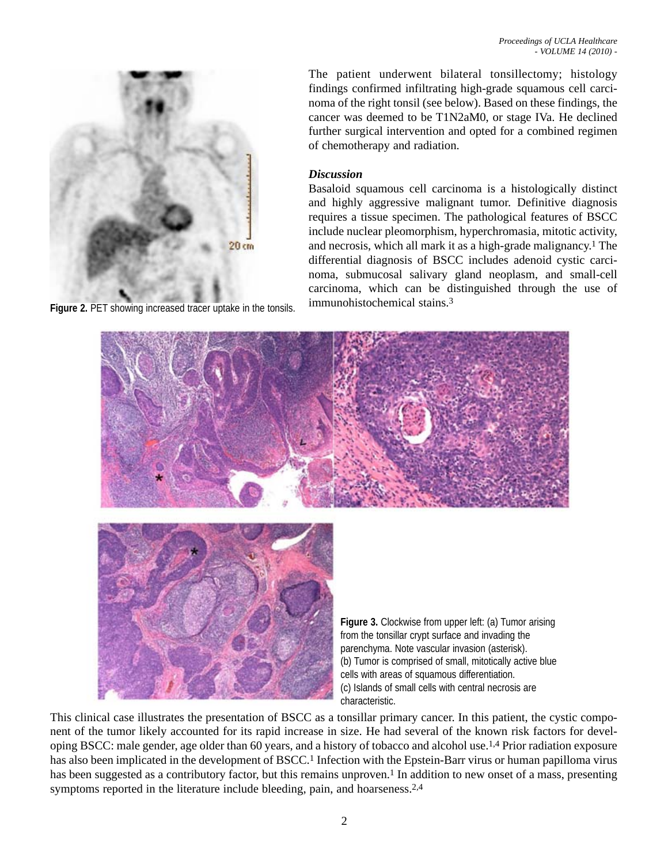

The patient underwent bilateral tonsillectomy; histology findings confirmed infiltrating high-grade squamous cell carcinoma of the right tonsil (see below). Based on these findings, the cancer was deemed to be T1N2aM0, or stage IVa. He declined further surgical intervention and opted for a combined regimen of chemotherapy and radiation.

#### *Discussion*

Basaloid squamous cell carcinoma is a histologically distinct and highly aggressive malignant tumor. Definitive diagnosis requires a tissue specimen. The pathological features of BSCC include nuclear pleomorphism, hyperchromasia, mitotic activity, and necrosis, which all mark it as a high-grade malignancy.1 The differential diagnosis of BSCC includes adenoid cystic carcinoma, submucosal salivary gland neoplasm, and small-cell carcinoma, which can be distinguished through the use of immunohistochemical stains.3



**Figure 3.** Clockwise from upper left: (a) Tumor arising from the tonsillar crypt surface and invading the parenchyma. Note vascular invasion (asterisk). (b) Tumor is comprised of small, mitotically active blue cells with areas of squamous differentiation. (c) Islands of small cells with central necrosis are characteristic.

This clinical case illustrates the presentation of BSCC as a tonsillar primary cancer. In this patient, the cystic component of the tumor likely accounted for its rapid increase in size. He had several of the known risk factors for developing BSCC: male gender, age older than 60 years, and a history of tobacco and alcohol use.1,4 Prior radiation exposure has also been implicated in the development of BSCC.<sup>1</sup> Infection with the Epstein-Barr virus or human papilloma virus has been suggested as a contributory factor, but this remains unproven.<sup>1</sup> In addition to new onset of a mass, presenting symptoms reported in the literature include bleeding, pain, and hoarseness.<sup>2,4</sup>